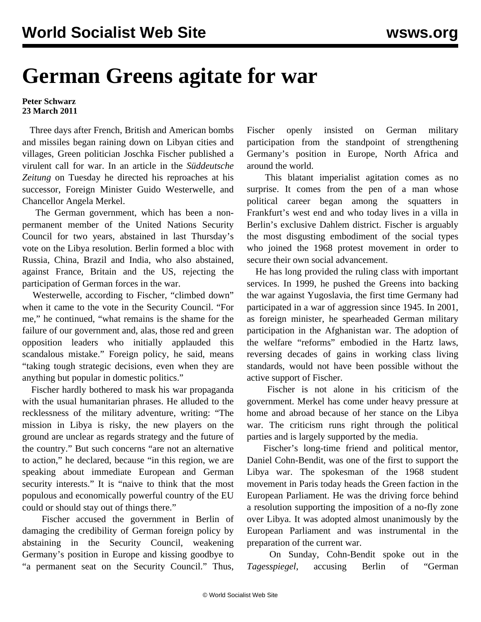## **German Greens agitate for war**

## **Peter Schwarz 23 March 2011**

 Three days after French, British and American bombs and missiles began raining down on Libyan cities and villages, Green politician Joschka Fischer published a virulent call for war. In an article in the *Süddeutsche Zeitung* on Tuesday he directed his reproaches at his successor, Foreign Minister Guido Westerwelle, and Chancellor Angela Merkel.

 The German government, which has been a nonpermanent member of the United Nations Security Council for two years, abstained in last Thursday's vote on the Libya resolution. Berlin formed a bloc with Russia, China, Brazil and India, who also abstained, against France, Britain and the US, rejecting the participation of German forces in the war.

 Westerwelle, according to Fischer, "climbed down" when it came to the vote in the Security Council. "For me," he continued, "what remains is the shame for the failure of our government and, alas, those red and green opposition leaders who initially applauded this scandalous mistake." Foreign policy, he said, means "taking tough strategic decisions, even when they are anything but popular in domestic politics."

 Fischer hardly bothered to mask his war propaganda with the usual humanitarian phrases. He alluded to the recklessness of the military adventure, writing: "The mission in Libya is risky, the new players on the ground are unclear as regards strategy and the future of the country." But such concerns "are not an alternative to action," he declared, because "in this region, we are speaking about immediate European and German security interests." It is "naive to think that the most populous and economically powerful country of the EU could or should stay out of things there."

 Fischer accused the government in Berlin of damaging the credibility of German foreign policy by abstaining in the Security Council, weakening Germany's position in Europe and kissing goodbye to "a permanent seat on the Security Council." Thus,

Fischer openly insisted on German military participation from the standpoint of strengthening Germany's position in Europe, North Africa and around the world.

 This blatant imperialist agitation comes as no surprise. It comes from the pen of a man whose political career began among the squatters in Frankfurt's west end and who today lives in a villa in Berlin's exclusive Dahlem district. Fischer is arguably the most disgusting embodiment of the social types who joined the 1968 protest movement in order to secure their own social advancement.

 He has long provided the ruling class with important services. In 1999, he pushed the Greens into backing the war against Yugoslavia, the first time Germany had participated in a war of aggression since 1945. In 2001, as foreign minister, he spearheaded German military participation in the Afghanistan war. The adoption of the welfare "reforms" embodied in the Hartz laws, reversing decades of gains in working class living standards, would not have been possible without the active support of Fischer.

 Fischer is not alone in his criticism of the government. Merkel has come under heavy pressure at home and abroad because of her stance on the Libya war. The criticism runs right through the political parties and is largely supported by the media.

 Fischer's long-time friend and political mentor, Daniel Cohn-Bendit, was one of the first to support the Libya war. The spokesman of the 1968 student movement in Paris today heads the Green faction in the European Parliament. He was the driving force behind a resolution supporting the imposition of a no-fly zone over Libya. It was adopted almost unanimously by the European Parliament and was instrumental in the preparation of the current war.

 On Sunday, Cohn-Bendit spoke out in the *Tagesspiegel*, accusing Berlin of "German